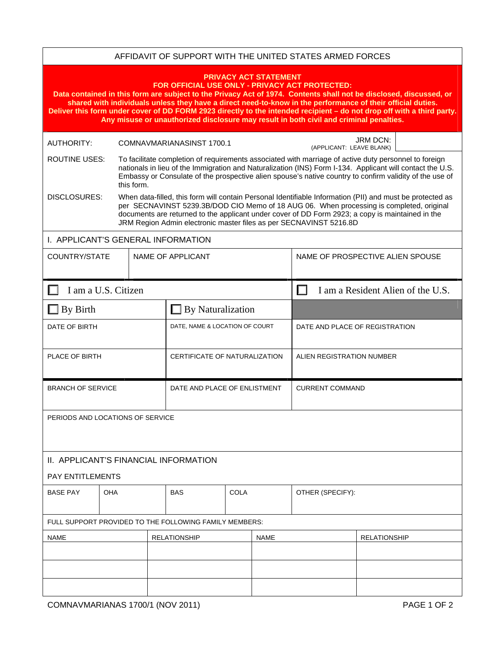| AFFIDAVIT OF SUPPORT WITH THE UNITED STATES ARMED FORCES                                                                                                                                                                                                                                                                                                                                                                                                                                                                                |                          |                                                                                                                                                                                                                                                                                                                                                                                 |                                |             |             |                                  |  |  |  |                     |  |                                   |  |
|-----------------------------------------------------------------------------------------------------------------------------------------------------------------------------------------------------------------------------------------------------------------------------------------------------------------------------------------------------------------------------------------------------------------------------------------------------------------------------------------------------------------------------------------|--------------------------|---------------------------------------------------------------------------------------------------------------------------------------------------------------------------------------------------------------------------------------------------------------------------------------------------------------------------------------------------------------------------------|--------------------------------|-------------|-------------|----------------------------------|--|--|--|---------------------|--|-----------------------------------|--|
| <b>PRIVACY ACT STATEMENT</b><br>FOR OFFICIAL USE ONLY - PRIVACY ACT PROTECTED:<br>Data contained in this form are subject to the Privacy Act of 1974. Contents shall not be disclosed, discussed, or<br>shared with individuals unless they have a direct need-to-know in the performance of their official duties.<br>Deliver this form under cover of DD FORM 2923 directly to the intended recipient - do not drop off with a third party.<br>Any misuse or unauthorized disclosure may result in both civil and criminal penalties. |                          |                                                                                                                                                                                                                                                                                                                                                                                 |                                |             |             |                                  |  |  |  |                     |  |                                   |  |
| <b>AUTHORITY:</b>                                                                                                                                                                                                                                                                                                                                                                                                                                                                                                                       |                          | <b>JRM DCN:</b><br>COMNAVMARIANASINST 1700.1<br>(APPLICANT: LEAVE BLANK)                                                                                                                                                                                                                                                                                                        |                                |             |             |                                  |  |  |  |                     |  |                                   |  |
| <b>ROUTINE USES:</b>                                                                                                                                                                                                                                                                                                                                                                                                                                                                                                                    | this form.               | To facilitate completion of requirements associated with marriage of active duty personnel to foreign<br>nationals in lieu of the Immigration and Naturalization (INS) Form I-134. Applicant will contact the U.S.<br>Embassy or Consulate of the prospective alien spouse's native country to confirm validity of the use of                                                   |                                |             |             |                                  |  |  |  |                     |  |                                   |  |
| <b>DISCLOSURES:</b>                                                                                                                                                                                                                                                                                                                                                                                                                                                                                                                     |                          | When data-filled, this form will contain Personal Identifiable Information (PII) and must be protected as<br>per SECNAVINST 5239.3B/DOD CIO Memo of 18 AUG 06. When processing is completed, original<br>documents are returned to the applicant under cover of DD Form 2923; a copy is maintained in the<br>JRM Region Admin electronic master files as per SECNAVINST 5216.8D |                                |             |             |                                  |  |  |  |                     |  |                                   |  |
| I. APPLICANT'S GENERAL INFORMATION                                                                                                                                                                                                                                                                                                                                                                                                                                                                                                      |                          |                                                                                                                                                                                                                                                                                                                                                                                 |                                |             |             |                                  |  |  |  |                     |  |                                   |  |
| COUNTRY/STATE                                                                                                                                                                                                                                                                                                                                                                                                                                                                                                                           |                          |                                                                                                                                                                                                                                                                                                                                                                                 | NAME OF APPLICANT              |             |             | NAME OF PROSPECTIVE ALIEN SPOUSE |  |  |  |                     |  |                                   |  |
|                                                                                                                                                                                                                                                                                                                                                                                                                                                                                                                                         | П<br>I am a U.S. Citizen |                                                                                                                                                                                                                                                                                                                                                                                 |                                |             |             |                                  |  |  |  |                     |  | I am a Resident Alien of the U.S. |  |
| By Birth                                                                                                                                                                                                                                                                                                                                                                                                                                                                                                                                |                          |                                                                                                                                                                                                                                                                                                                                                                                 | $\Box$ By Naturalization       |             |             |                                  |  |  |  |                     |  |                                   |  |
| DATE OF BIRTH                                                                                                                                                                                                                                                                                                                                                                                                                                                                                                                           |                          |                                                                                                                                                                                                                                                                                                                                                                                 | DATE, NAME & LOCATION OF COURT |             |             | DATE AND PLACE OF REGISTRATION   |  |  |  |                     |  |                                   |  |
| PLACE OF BIRTH                                                                                                                                                                                                                                                                                                                                                                                                                                                                                                                          |                          |                                                                                                                                                                                                                                                                                                                                                                                 | CERTIFICATE OF NATURALIZATION  |             |             | ALIEN REGISTRATION NUMBER        |  |  |  |                     |  |                                   |  |
| <b>BRANCH OF SERVICE</b>                                                                                                                                                                                                                                                                                                                                                                                                                                                                                                                |                          |                                                                                                                                                                                                                                                                                                                                                                                 | DATE AND PLACE OF ENLISTMENT   |             |             | <b>CURRENT COMMAND</b>           |  |  |  |                     |  |                                   |  |
| PERIODS AND LOCATIONS OF SERVICE                                                                                                                                                                                                                                                                                                                                                                                                                                                                                                        |                          |                                                                                                                                                                                                                                                                                                                                                                                 |                                |             |             |                                  |  |  |  |                     |  |                                   |  |
| II. APPLICANT'S FINANCIAL INFORMATION                                                                                                                                                                                                                                                                                                                                                                                                                                                                                                   |                          |                                                                                                                                                                                                                                                                                                                                                                                 |                                |             |             |                                  |  |  |  |                     |  |                                   |  |
| <b>PAY ENTITLEMENTS</b>                                                                                                                                                                                                                                                                                                                                                                                                                                                                                                                 |                          |                                                                                                                                                                                                                                                                                                                                                                                 |                                |             |             |                                  |  |  |  |                     |  |                                   |  |
| <b>BASE PAY</b>                                                                                                                                                                                                                                                                                                                                                                                                                                                                                                                         | OHA                      |                                                                                                                                                                                                                                                                                                                                                                                 | <b>BAS</b>                     | <b>COLA</b> |             | OTHER (SPECIFY):                 |  |  |  |                     |  |                                   |  |
| FULL SUPPORT PROVIDED TO THE FOLLOWING FAMILY MEMBERS:                                                                                                                                                                                                                                                                                                                                                                                                                                                                                  |                          |                                                                                                                                                                                                                                                                                                                                                                                 |                                |             |             |                                  |  |  |  |                     |  |                                   |  |
| <b>NAME</b>                                                                                                                                                                                                                                                                                                                                                                                                                                                                                                                             |                          |                                                                                                                                                                                                                                                                                                                                                                                 | <b>RELATIONSHIP</b>            |             | <b>NAME</b> |                                  |  |  |  | <b>RELATIONSHIP</b> |  |                                   |  |
|                                                                                                                                                                                                                                                                                                                                                                                                                                                                                                                                         |                          |                                                                                                                                                                                                                                                                                                                                                                                 |                                |             |             |                                  |  |  |  |                     |  |                                   |  |
|                                                                                                                                                                                                                                                                                                                                                                                                                                                                                                                                         |                          |                                                                                                                                                                                                                                                                                                                                                                                 |                                |             |             |                                  |  |  |  |                     |  |                                   |  |
|                                                                                                                                                                                                                                                                                                                                                                                                                                                                                                                                         |                          |                                                                                                                                                                                                                                                                                                                                                                                 |                                |             |             |                                  |  |  |  |                     |  |                                   |  |